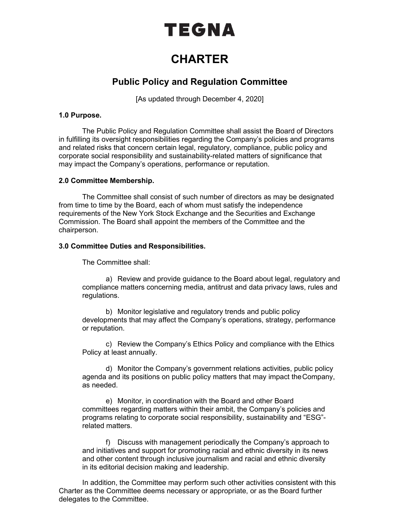# TEGNA

## **CHARTER**

### **Public Policy and Regulation Committee**

[As updated through December 4, 2020]

#### **1.0 Purpose.**

The Public Policy and Regulation Committee shall assist the Board of Directors in fulfilling its oversight responsibilities regarding the Company's policies and programs and related risks that concern certain legal, regulatory, compliance, public policy and corporate social responsibility and sustainability-related matters of significance that may impact the Company's operations, performance or reputation.

#### **2.0 Committee Membership.**

The Committee shall consist of such number of directors as may be designated from time to time by the Board, each of whom must satisfy the independence requirements of the New York Stock Exchange and the Securities and Exchange Commission. The Board shall appoint the members of the Committee and the chairperson.

#### **3.0 Committee Duties and Responsibilities.**

The Committee shall:

a) Review and provide guidance to the Board about legal, regulatory and compliance matters concerning media, antitrust and data privacy laws, rules and regulations.

b) Monitor legislative and regulatory trends and public policy developments that may affect the Company's operations, strategy, performance or reputation.

c) Review the Company's Ethics Policy and compliance with the Ethics Policy at least annually.

d) Monitor the Company's government relations activities, public policy agenda and its positions on public policy matters that may impact theCompany, as needed.

e) Monitor, in coordination with the Board and other Board committees regarding matters within their ambit, the Company's policies and programs relating to corporate social responsibility, sustainability and "ESG" related matters.

f) Discuss with management periodically the Company's approach to and initiatives and support for promoting racial and ethnic diversity in its news and other content through inclusive journalism and racial and ethnic diversity in its editorial decision making and leadership.

In addition, the Committee may perform such other activities consistent with this Charter as the Committee deems necessary or appropriate, or as the Board further delegates to the Committee.